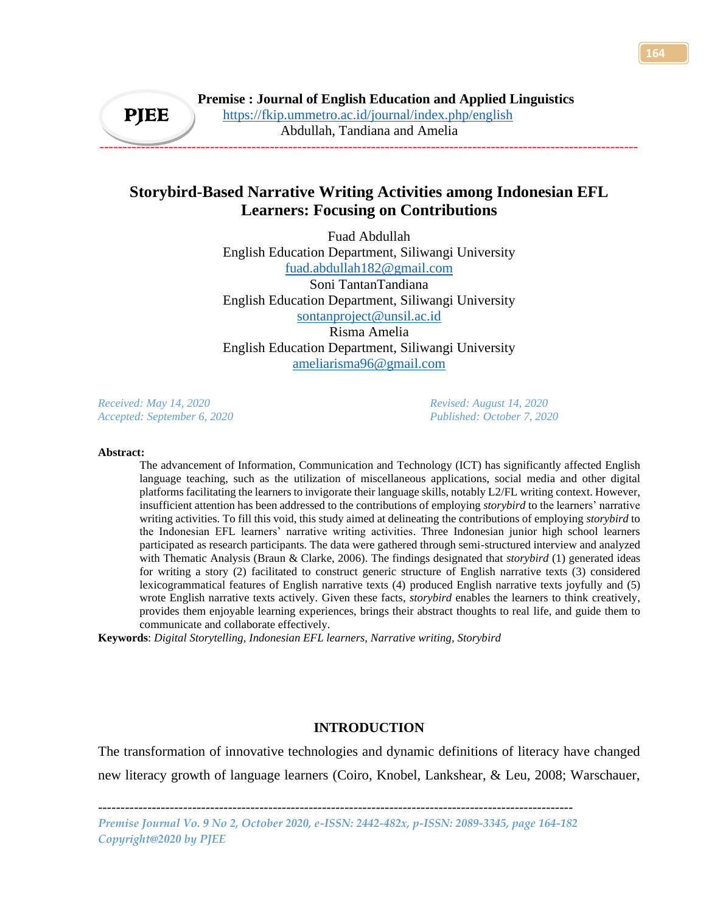# **Storybird-Based Narrative Writing Activities among Indonesian EFL Learners: Focusing on Contributions**

Fuad Abdullah English Education Department, Siliwangi University [fuad.abdullah182@gmail.com](mailto:fuad.abdullah182@gmail.com) Soni TantanTandiana English Education Department, Siliwangi University [sontanproject@unsil.ac.id](mailto:sontanproject@unsil.ac.id) Risma Amelia English Education Department, Siliwangi University [ameliarisma96@gmail.com](mailto:ameliarisma96@gmail.com)

*Received: May 14, 2020 Revised: August 14, 2020 Accepted: September 6, 2020 Published: October 7, 2020*

*Copyright@2020 by PJEE*

#### **Abstract:**

The advancement of Information, Communication and Technology (ICT) has significantly affected English language teaching, such as the utilization of miscellaneous applications, social media and other digital platforms facilitating the learners to invigorate their language skills, notably L2/FL writing context. However, insufficient attention has been addressed to the contributions of employing *storybird* to the learners' narrative writing activities. To fill this void, this study aimed at delineating the contributions of employing *storybird* to the Indonesian EFL learners' narrative writing activities. Three Indonesian junior high school learners participated as research participants. The data were gathered through semi-structured interview and analyzed with Thematic Analysis (Braun & Clarke, 2006). The findings designated that *storybird* (1) generated ideas for writing a story (2) facilitated to construct generic structure of English narrative texts (3) considered lexicogrammatical features of English narrative texts (4) produced English narrative texts joyfully and (5) wrote English narrative texts actively. Given these facts, *storybird* enables the learners to think creatively, provides them enjoyable learning experiences, brings their abstract thoughts to real life, and guide them to communicate and collaborate effectively.

**Keywords**: *Digital Storytelling, Indonesian EFL learners, Narrative writing, Storybird*

# **INTRODUCTION**

The transformation of innovative technologies and dynamic definitions of literacy have changed new literacy growth of language learners (Coiro, Knobel, Lankshear, & Leu, 2008; Warschauer,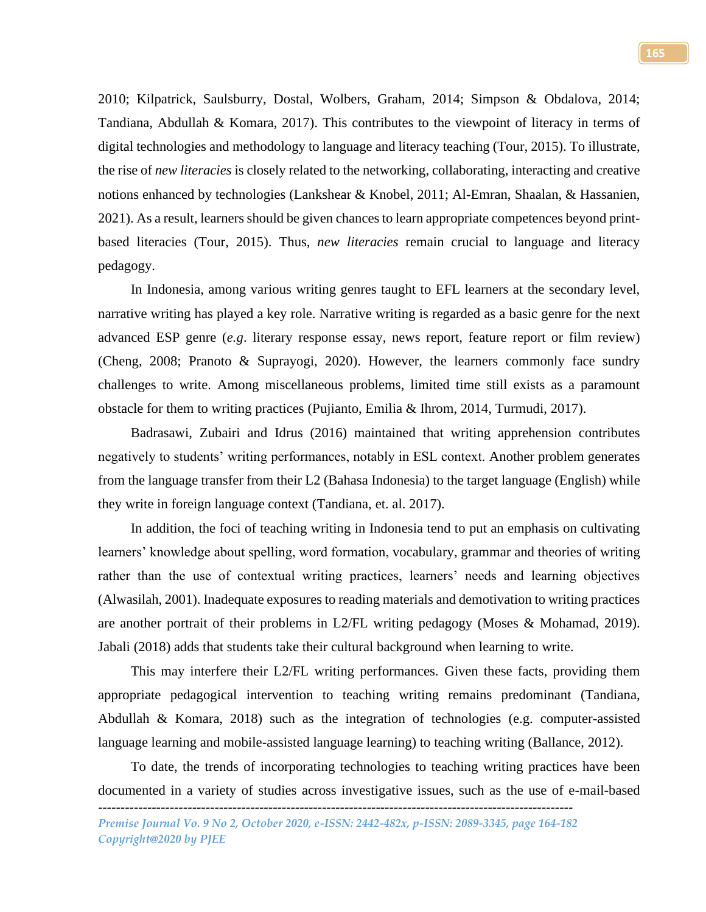2010; Kilpatrick, Saulsburry, Dostal, Wolbers, Graham, 2014; Simpson & Obdalova, 2014; Tandiana, Abdullah & Komara, 2017). This contributes to the viewpoint of literacy in terms of digital technologies and methodology to language and literacy teaching (Tour, 2015). To illustrate, the rise of *new literacies* is closely related to the networking, collaborating, interacting and creative notions enhanced by technologies (Lankshear & Knobel, 2011; Al-Emran, Shaalan, & Hassanien, 2021). As a result, learners should be given chances to learn appropriate competences beyond printbased literacies (Tour, 2015). Thus, *new literacies* remain crucial to language and literacy pedagogy.

In Indonesia, among various writing genres taught to EFL learners at the secondary level, narrative writing has played a key role. Narrative writing is regarded as a basic genre for the next advanced ESP genre (*e.g*. literary response essay, news report, feature report or film review) (Cheng, 2008; Pranoto & Suprayogi, 2020). However, the learners commonly face sundry challenges to write. Among miscellaneous problems, limited time still exists as a paramount obstacle for them to writing practices (Pujianto, Emilia & Ihrom, 2014, Turmudi, 2017).

Badrasawi, Zubairi and Idrus (2016) maintained that writing apprehension contributes negatively to students' writing performances, notably in ESL context. Another problem generates from the language transfer from their L2 (Bahasa Indonesia) to the target language (English) while they write in foreign language context (Tandiana, et. al. 2017).

In addition, the foci of teaching writing in Indonesia tend to put an emphasis on cultivating learners' knowledge about spelling, word formation, vocabulary, grammar and theories of writing rather than the use of contextual writing practices, learners' needs and learning objectives (Alwasilah, 2001). Inadequate exposures to reading materials and demotivation to writing practices are another portrait of their problems in L2/FL writing pedagogy (Moses & Mohamad, 2019). Jabali (2018) adds that students take their cultural background when learning to write.

This may interfere their L2/FL writing performances. Given these facts, providing them appropriate pedagogical intervention to teaching writing remains predominant (Tandiana, Abdullah & Komara, 2018) such as the integration of technologies (e.g. computer-assisted language learning and mobile-assisted language learning) to teaching writing (Ballance, 2012).

To date, the trends of incorporating technologies to teaching writing practices have been documented in a variety of studies across investigative issues, such as the use of e-mail-based

*<sup>----------------------------------------------------------------------------------------------------------</sup> Premise Journal Vo. 9 No 2, October 2020, e-ISSN: 2442-482x, p-ISSN: 2089-3345, page 164-182 Copyright@2020 by PJEE*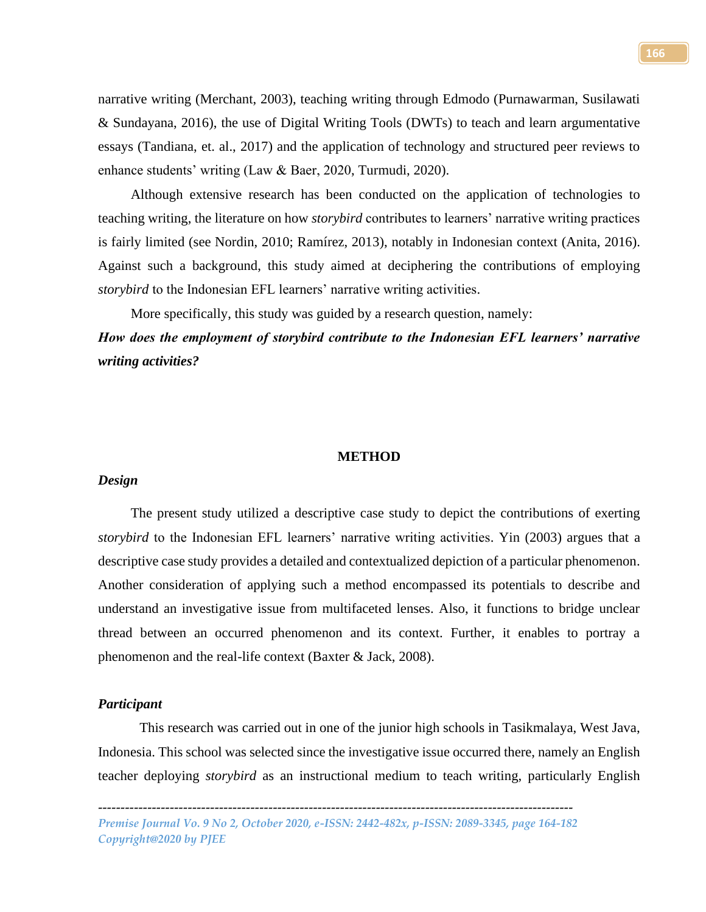narrative writing (Merchant, 2003), teaching writing through Edmodo (Purnawarman, Susilawati & Sundayana, 2016), the use of Digital Writing Tools (DWTs) to teach and learn argumentative essays (Tandiana, et. al., 2017) and the application of technology and structured peer reviews to enhance students' writing (Law & Baer, 2020, Turmudi, 2020).

Although extensive research has been conducted on the application of technologies to teaching writing, the literature on how *storybird* contributes to learners' narrative writing practices is fairly limited (see Nordin, 2010; Ramírez, 2013), notably in Indonesian context (Anita, 2016). Against such a background, this study aimed at deciphering the contributions of employing *storybird* to the Indonesian EFL learners' narrative writing activities.

More specifically, this study was guided by a research question, namely:

*How does the employment of storybird contribute to the Indonesian EFL learners' narrative writing activities?*

### **METHOD**

# *Design*

The present study utilized a descriptive case study to depict the contributions of exerting *storybird* to the Indonesian EFL learners' narrative writing activities. Yin (2003) argues that a descriptive case study provides a detailed and contextualized depiction of a particular phenomenon. Another consideration of applying such a method encompassed its potentials to describe and understand an investigative issue from multifaceted lenses. Also, it functions to bridge unclear thread between an occurred phenomenon and its context. Further, it enables to portray a phenomenon and the real-life context (Baxter & Jack, 2008).

# *Participant*

This research was carried out in one of the junior high schools in Tasikmalaya, West Java, Indonesia. This school was selected since the investigative issue occurred there, namely an English teacher deploying *storybird* as an instructional medium to teach writing, particularly English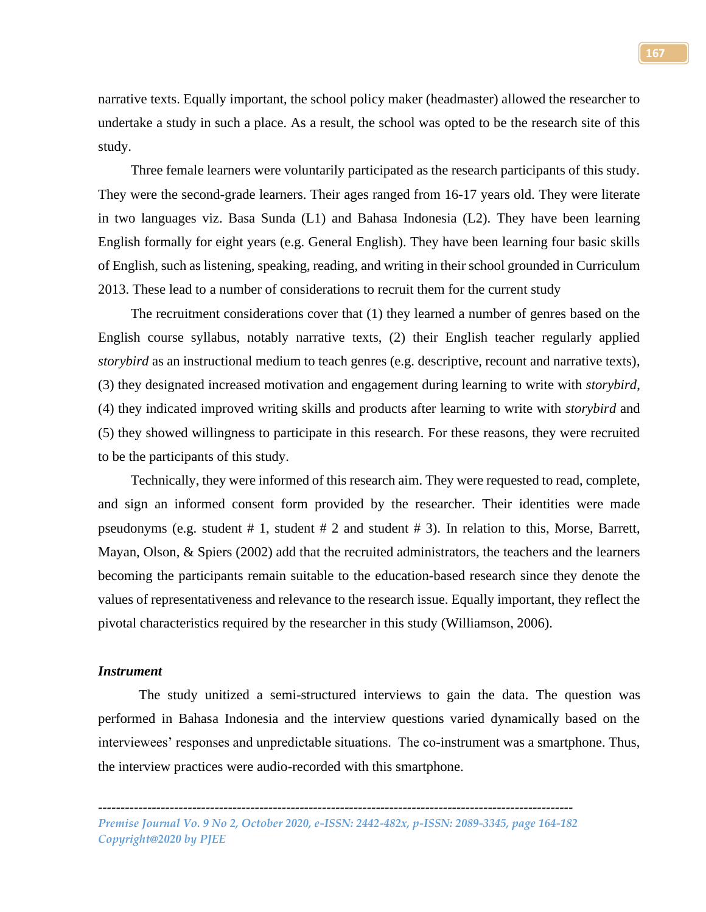narrative texts. Equally important, the school policy maker (headmaster) allowed the researcher to undertake a study in such a place. As a result, the school was opted to be the research site of this study.

Three female learners were voluntarily participated as the research participants of this study. They were the second-grade learners. Their ages ranged from 16-17 years old. They were literate in two languages viz. Basa Sunda (L1) and Bahasa Indonesia (L2). They have been learning English formally for eight years (e.g. General English). They have been learning four basic skills of English, such as listening, speaking, reading, and writing in their school grounded in Curriculum 2013. These lead to a number of considerations to recruit them for the current study

The recruitment considerations cover that (1) they learned a number of genres based on the English course syllabus, notably narrative texts, (2) their English teacher regularly applied *storybird* as an instructional medium to teach genres (e.g. descriptive, recount and narrative texts), (3) they designated increased motivation and engagement during learning to write with *storybird*, (4) they indicated improved writing skills and products after learning to write with *storybird* and (5) they showed willingness to participate in this research. For these reasons, they were recruited to be the participants of this study.

Technically, they were informed of this research aim. They were requested to read, complete, and sign an informed consent form provided by the researcher. Their identities were made pseudonyms (e.g. student  $# 1$ , student  $# 2$  and student  $# 3$ ). In relation to this, Morse, Barrett, Mayan, Olson, & Spiers (2002) add that the recruited administrators, the teachers and the learners becoming the participants remain suitable to the education-based research since they denote the values of representativeness and relevance to the research issue. Equally important, they reflect the pivotal characteristics required by the researcher in this study (Williamson, 2006).

## *Instrument*

The study unitized a semi-structured interviews to gain the data. The question was performed in Bahasa Indonesia and the interview questions varied dynamically based on the interviewees' responses and unpredictable situations. The co-instrument was a smartphone. Thus, the interview practices were audio-recorded with this smartphone.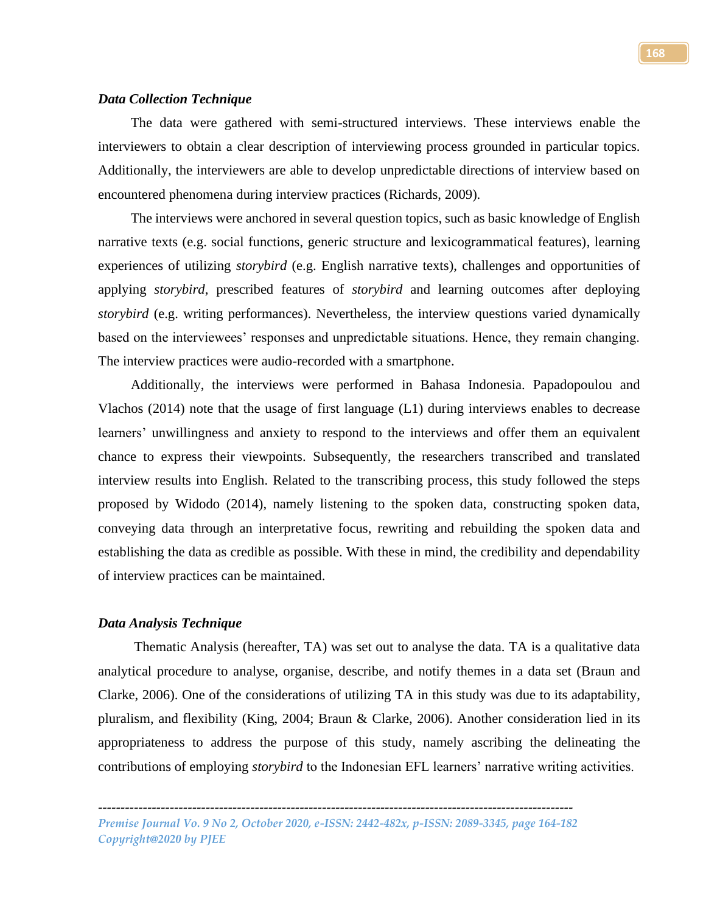### *Data Collection Technique*

The data were gathered with semi-structured interviews. These interviews enable the interviewers to obtain a clear description of interviewing process grounded in particular topics. Additionally, the interviewers are able to develop unpredictable directions of interview based on encountered phenomena during interview practices (Richards, 2009).

The interviews were anchored in several question topics, such as basic knowledge of English narrative texts (e.g. social functions, generic structure and lexicogrammatical features), learning experiences of utilizing *storybird* (e.g. English narrative texts), challenges and opportunities of applying *storybird*, prescribed features of *storybird* and learning outcomes after deploying *storybird* (e.g. writing performances). Nevertheless, the interview questions varied dynamically based on the interviewees' responses and unpredictable situations. Hence, they remain changing. The interview practices were audio-recorded with a smartphone.

Additionally, the interviews were performed in Bahasa Indonesia. Papadopoulou and Vlachos (2014) note that the usage of first language  $(L1)$  during interviews enables to decrease learners' unwillingness and anxiety to respond to the interviews and offer them an equivalent chance to express their viewpoints. Subsequently, the researchers transcribed and translated interview results into English. Related to the transcribing process, this study followed the steps proposed by Widodo (2014), namely listening to the spoken data, constructing spoken data, conveying data through an interpretative focus, rewriting and rebuilding the spoken data and establishing the data as credible as possible. With these in mind, the credibility and dependability of interview practices can be maintained.

## *Data Analysis Technique*

Thematic Analysis (hereafter, TA) was set out to analyse the data. TA is a qualitative data analytical procedure to analyse, organise, describe, and notify themes in a data set (Braun and Clarke, 2006). One of the considerations of utilizing TA in this study was due to its adaptability, pluralism, and flexibility (King, 2004; Braun & Clarke, 2006). Another consideration lied in its appropriateness to address the purpose of this study, namely ascribing the delineating the contributions of employing *storybird* to the Indonesian EFL learners' narrative writing activities.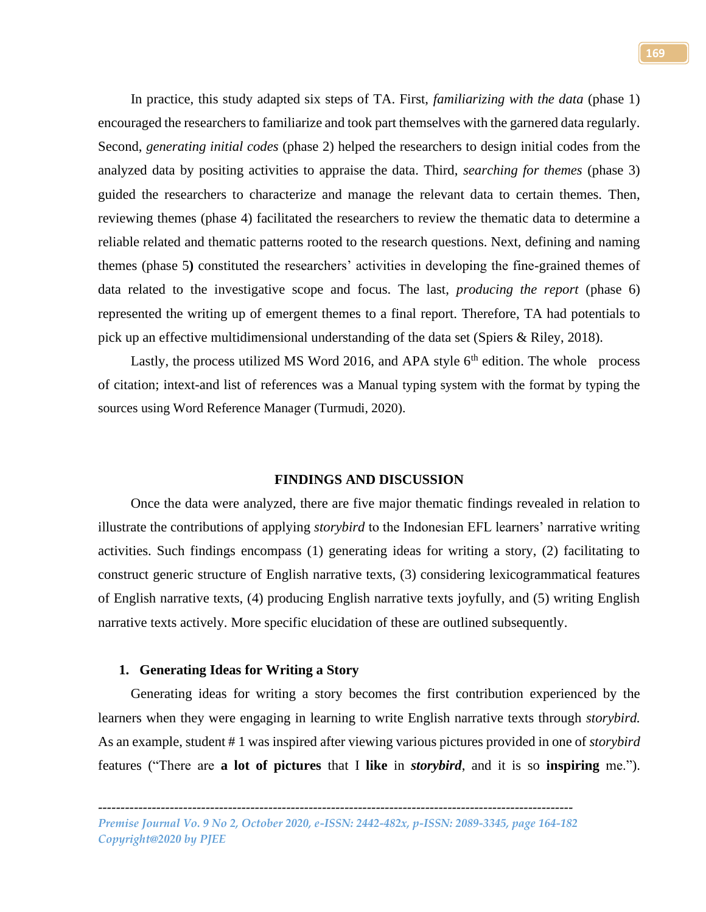In practice, this study adapted six steps of TA. First, *familiarizing with the data* (phase 1) encouraged the researchers to familiarize and took part themselves with the garnered data regularly. Second, *generating initial codes* (phase 2) helped the researchers to design initial codes from the analyzed data by positing activities to appraise the data. Third, *searching for themes* (phase 3) guided the researchers to characterize and manage the relevant data to certain themes. Then, reviewing themes (phase 4) facilitated the researchers to review the thematic data to determine a reliable related and thematic patterns rooted to the research questions. Next, defining and naming themes (phase 5**)** constituted the researchers' activities in developing the fine-grained themes of data related to the investigative scope and focus. The last, *producing the report* (phase 6) represented the writing up of emergent themes to a final report. Therefore, TA had potentials to pick up an effective multidimensional understanding of the data set (Spiers & Riley, 2018).

Lastly, the process utilized MS Word 2016, and APA style  $6<sup>th</sup>$  edition. The whole process of citation; intext-and list of references was a Manual typing system with the format by typing the sources using Word Reference Manager (Turmudi, 2020).

#### **FINDINGS AND DISCUSSION**

Once the data were analyzed, there are five major thematic findings revealed in relation to illustrate the contributions of applying *storybird* to the Indonesian EFL learners' narrative writing activities. Such findings encompass (1) generating ideas for writing a story, (2) facilitating to construct generic structure of English narrative texts, (3) considering lexicogrammatical features of English narrative texts, (4) producing English narrative texts joyfully, and (5) writing English narrative texts actively. More specific elucidation of these are outlined subsequently.

#### **1. Generating Ideas for Writing a Story**

Generating ideas for writing a story becomes the first contribution experienced by the learners when they were engaging in learning to write English narrative texts through *storybird.* As an example, student # 1 was inspired after viewing various pictures provided in one of *storybird* features ("There are **a lot of pictures** that I **like** in *storybird*, and it is so **inspiring** me.").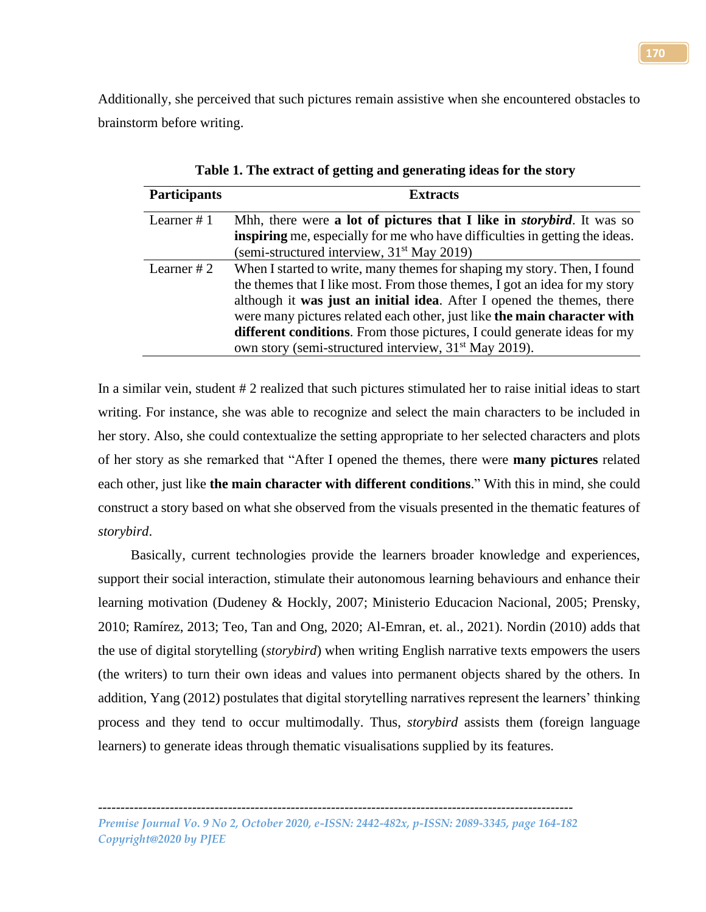Additionally, she perceived that such pictures remain assistive when she encountered obstacles to brainstorm before writing.

| <b>Participants</b> | <b>Extracts</b>                                                                                                                                                                                                                                                                                                                                                                                                                                                      |
|---------------------|----------------------------------------------------------------------------------------------------------------------------------------------------------------------------------------------------------------------------------------------------------------------------------------------------------------------------------------------------------------------------------------------------------------------------------------------------------------------|
| Learner $# 1$       | Mhh, there were a lot of pictures that I like in <i>storybird</i> . It was so<br><b>inspiring</b> me, especially for me who have difficulties in getting the ideas.<br>(semi-structured interview, $31st$ May 2019)                                                                                                                                                                                                                                                  |
| Learner $#2$        | When I started to write, many themes for shaping my story. Then, I found<br>the themes that I like most. From those themes, I got an idea for my story<br>although it was just an initial idea. After I opened the themes, there<br>were many pictures related each other, just like the main character with<br><b>different conditions.</b> From those pictures, I could generate ideas for my<br>own story (semi-structured interview, 31 <sup>st</sup> May 2019). |

**Table 1. The extract of getting and generating ideas for the story**

In a similar vein, student # 2 realized that such pictures stimulated her to raise initial ideas to start writing. For instance, she was able to recognize and select the main characters to be included in her story. Also, she could contextualize the setting appropriate to her selected characters and plots of her story as she remarked that "After I opened the themes, there were **many pictures** related each other, just like **the main character with different conditions**." With this in mind, she could construct a story based on what she observed from the visuals presented in the thematic features of *storybird*.

Basically, current technologies provide the learners broader knowledge and experiences, support their social interaction, stimulate their autonomous learning behaviours and enhance their learning motivation (Dudeney & Hockly, 2007; Ministerio Educacion Nacional, 2005; Prensky, 2010; Ramírez, 2013; Teo, Tan and Ong, 2020; Al-Emran, et. al., 2021). Nordin (2010) adds that the use of digital storytelling (*storybird*) when writing English narrative texts empowers the users (the writers) to turn their own ideas and values into permanent objects shared by the others. In addition, Yang (2012) postulates that digital storytelling narratives represent the learners' thinking process and they tend to occur multimodally. Thus, *storybird* assists them (foreign language learners) to generate ideas through thematic visualisations supplied by its features.

*---------------------------------------------------------------------------------------------------------- Premise Journal Vo. 9 No 2, October 2020, e-ISSN: 2442-482x, p-ISSN: 2089-3345, page 164-182*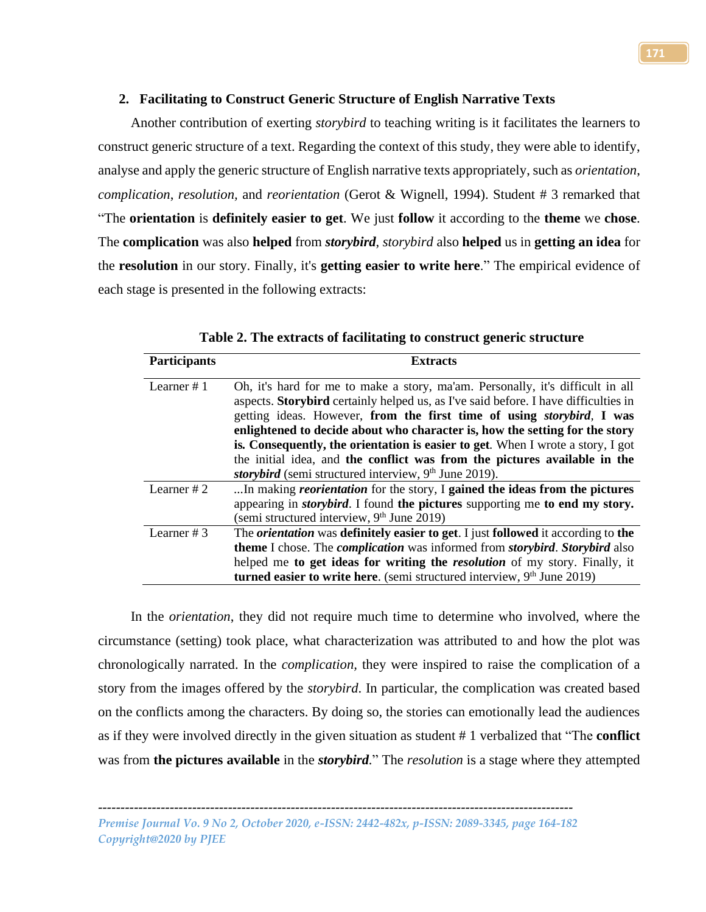# **2. Facilitating to Construct Generic Structure of English Narrative Texts**

Another contribution of exerting *storybird* to teaching writing is it facilitates the learners to construct generic structure of a text. Regarding the context of this study, they were able to identify, analyse and apply the generic structure of English narrative texts appropriately, such as *orientation*, *complication*, *resolution,* and *reorientation* (Gerot & Wignell, 1994). Student # 3 remarked that "The **orientation** is **definitely easier to get**. We just **follow** it according to the **theme** we **chose**. The **complication** was also **helped** from *storybird*, *storybird* also **helped** us in **getting an idea** for the **resolution** in our story. Finally, it's **getting easier to write here**." The empirical evidence of each stage is presented in the following extracts:

| <b>Participants</b> | <b>Extracts</b>                                                                                          |
|---------------------|----------------------------------------------------------------------------------------------------------|
| Learner $# 1$       | Oh, it's hard for me to make a story, ma'am. Personally, it's difficult in all                           |
|                     | aspects. Storybird certainly helped us, as I've said before. I have difficulties in                      |
|                     | getting ideas. However, from the first time of using <i>storybird</i> , I was                            |
|                     | enlightened to decide about who character is, how the setting for the story                              |
|                     | is. Consequently, the orientation is easier to get. When I wrote a story, I got                          |
|                     | the initial idea, and the conflict was from the pictures available in the                                |
|                     | storybird (semi structured interview, 9 <sup>th</sup> June 2019).                                        |
| Learner $#2$        | In making <i>reorientation</i> for the story, I gained the ideas from the pictures                       |
|                     | appearing in <i>storybird</i> . I found the pictures supporting me to end my story.                      |
|                     | (semi structured interview, 9 <sup>th</sup> June 2019)                                                   |
| Learner $# 3$       | The <i>orientation</i> was definitely easier to get. I just followed it according to the                 |
|                     | <b>theme</b> I chose. The <i>complication</i> was informed from <i>storybird</i> . <i>Storybird</i> also |
|                     | helped me to get ideas for writing the <i>resolution</i> of my story. Finally, it                        |
|                     | turned easier to write here. (semi structured interview, $9th$ June 2019)                                |
|                     |                                                                                                          |

**Table 2. The extracts of facilitating to construct generic structure**

In the *orientation*, they did not require much time to determine who involved, where the circumstance (setting) took place, what characterization was attributed to and how the plot was chronologically narrated. In the *complication,* they were inspired to raise the complication of a story from the images offered by the *storybird*. In particular, the complication was created based on the conflicts among the characters. By doing so, the stories can emotionally lead the audiences as if they were involved directly in the given situation as student # 1 verbalized that "The **conflict** was from **the pictures available** in the *storybird.*" The *resolution* is a stage where they attempted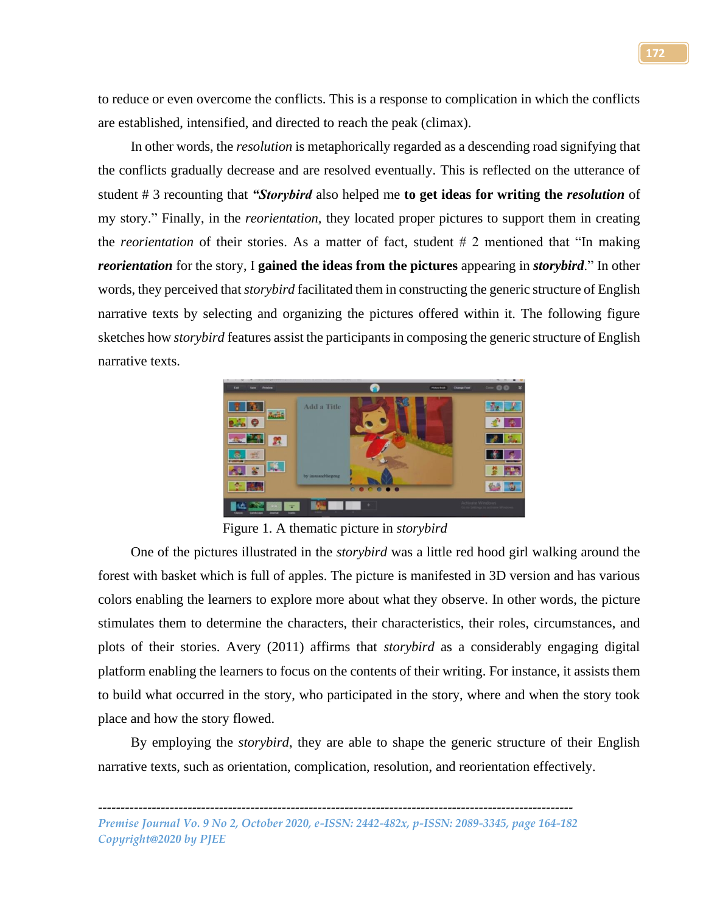to reduce or even overcome the conflicts. This is a response to complication in which the conflicts are established, intensified, and directed to reach the peak (climax).

In other words, the *resolution* is metaphorically regarded as a descending road signifying that the conflicts gradually decrease and are resolved eventually. This is reflected on the utterance of student # 3 recounting that *"Storybird* also helped me **to get ideas for writing the** *resolution* of my story." Finally, in the *reorientation,* they located proper pictures to support them in creating the *reorientation* of their stories. As a matter of fact, student # 2 mentioned that "In making *reorientation* for the story, I **gained the ideas from the pictures** appearing in *storybird*." In other words, they perceived that *storybird* facilitated them in constructing the generic structure of English narrative texts by selecting and organizing the pictures offered within it. The following figure sketches how *storybird* features assist the participants in composing the generic structure of English narrative texts.



Figure 1. A thematic picture in *storybird*

One of the pictures illustrated in the *storybird* was a little red hood girl walking around the forest with basket which is full of apples. The picture is manifested in 3D version and has various colors enabling the learners to explore more about what they observe. In other words, the picture stimulates them to determine the characters, their characteristics, their roles, circumstances, and plots of their stories. Avery (2011) affirms that *storybird* as a considerably engaging digital platform enabling the learners to focus on the contents of their writing. For instance, it assists them to build what occurred in the story, who participated in the story, where and when the story took place and how the story flowed.

By employing the *storybird*, they are able to shape the generic structure of their English narrative texts, such as orientation, complication, resolution, and reorientation effectively.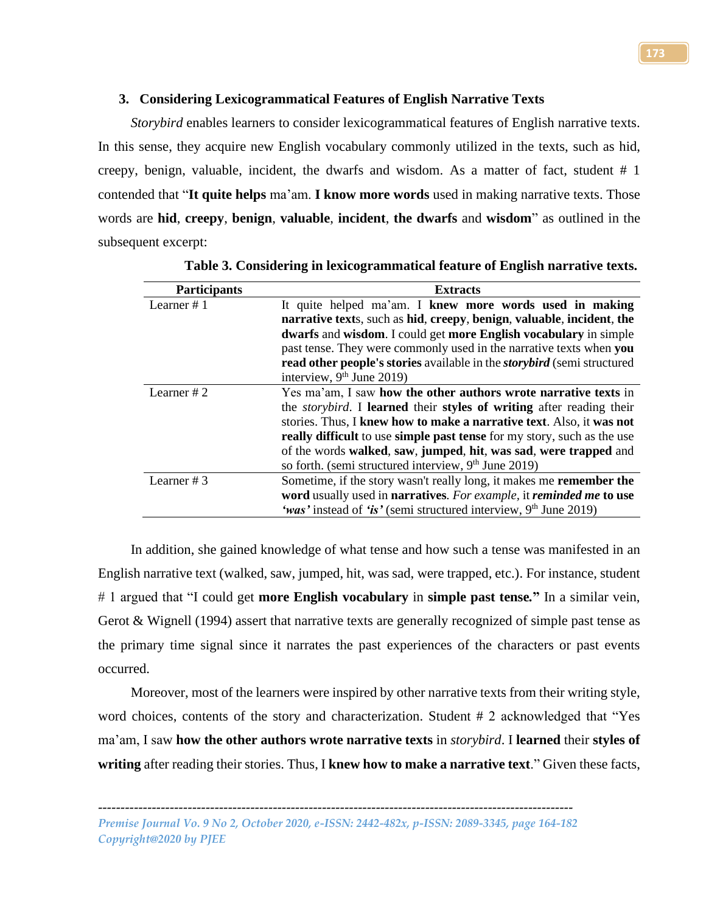# **3. Considering Lexicogrammatical Features of English Narrative Texts**

*Storybird* enables learners to consider lexicogrammatical features of English narrative texts. In this sense, they acquire new English vocabulary commonly utilized in the texts, such as hid, creepy, benign, valuable, incident, the dwarfs and wisdom. As a matter of fact, student # 1 contended that "**It quite helps** ma'am. **I know more words** used in making narrative texts. Those words are **hid**, **creepy**, **benign**, **valuable**, **incident**, **the dwarfs** and **wisdom**" as outlined in the subsequent excerpt:

| <b>Participants</b> | <b>Extracts</b>                                                                |
|---------------------|--------------------------------------------------------------------------------|
| Learner $# 1$       | It quite helped ma'am. I knew more words used in making                        |
|                     | narrative texts, such as hid, creepy, benign, valuable, incident, the          |
|                     | dwarfs and wisdom. I could get more English vocabulary in simple               |
|                     | past tense. They were commonly used in the narrative texts when you            |
|                     | read other people's stories available in the <i>storybird</i> (semi structured |
|                     | interview, $9th$ June 2019)                                                    |
| Learner $#2$        | Yes ma'am, I saw how the other authors wrote narrative texts in                |
|                     | the <i>storybird</i> . I learned their styles of writing after reading their   |
|                     | stories. Thus, I knew how to make a narrative text. Also, it was not           |
|                     | really difficult to use simple past tense for my story, such as the use        |
|                     | of the words walked, saw, jumped, hit, was sad, were trapped and               |
|                     | so forth. (semi structured interview, 9 <sup>th</sup> June 2019)               |
| Learner $# 3$       | Sometime, if the story wasn't really long, it makes me <b>remember the</b>     |
|                     | word usually used in narratives. For example, it reminded me to use            |
|                     | 'was' instead of 'is' (semi structured interview, $9th$ June 2019)             |

**Table 3. Considering in lexicogrammatical feature of English narrative texts.**

In addition, she gained knowledge of what tense and how such a tense was manifested in an English narrative text (walked, saw, jumped, hit, was sad, were trapped, etc.). For instance, student # 1 argued that "I could get **more English vocabulary** in **simple past tense***.***"** In a similar vein, Gerot & Wignell (1994) assert that narrative texts are generally recognized of simple past tense as the primary time signal since it narrates the past experiences of the characters or past events occurred.

Moreover, most of the learners were inspired by other narrative texts from their writing style, word choices, contents of the story and characterization. Student # 2 acknowledged that "Yes ma'am, I saw **how the other authors wrote narrative texts** in *storybird*. I **learned** their **styles of writing** after reading their stories. Thus, I **knew how to make a narrative text**." Given these facts,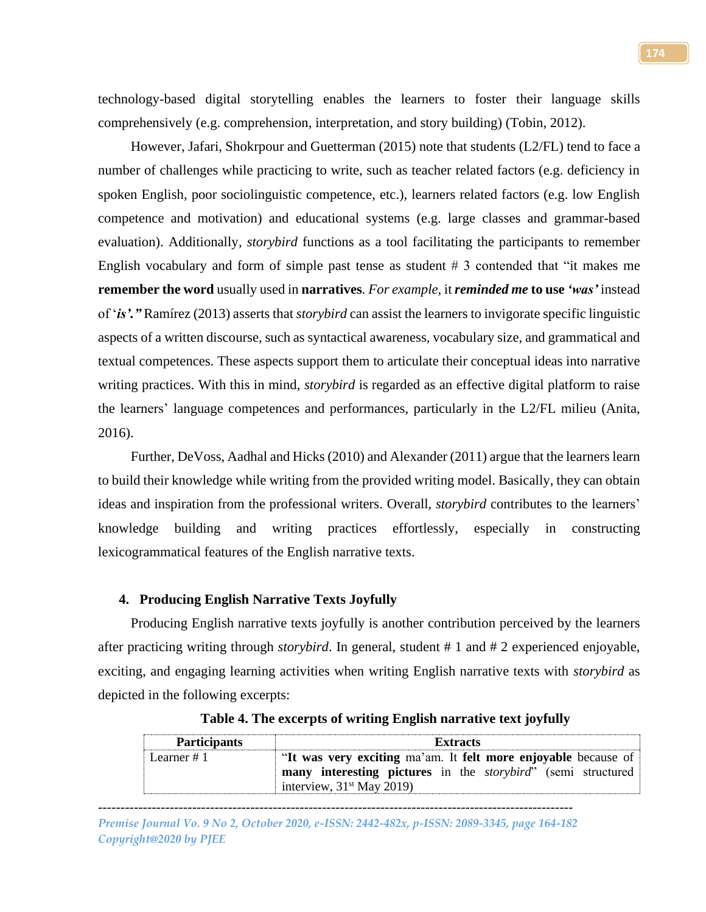technology-based digital storytelling enables the learners to foster their language skills comprehensively (e.g. comprehension, interpretation, and story building) (Tobin, 2012).

However, Jafari, Shokrpour and Guetterman (2015) note that students (L2/FL) tend to face a number of challenges while practicing to write, such as teacher related factors (e.g. deficiency in spoken English, poor sociolinguistic competence, etc.), learners related factors (e.g. low English competence and motivation) and educational systems (e.g. large classes and grammar-based evaluation). Additionally, *storybird* functions as a tool facilitating the participants to remember English vocabulary and form of simple past tense as student # 3 contended that "it makes me **remember the word** usually used in **narratives***. For example,* it *reminded me* **to use** *'was'* instead of '*is'."* Ramírez (2013) asserts that *storybird* can assist the learners to invigorate specific linguistic aspects of a written discourse, such as syntactical awareness, vocabulary size, and grammatical and textual competences. These aspects support them to articulate their conceptual ideas into narrative writing practices. With this in mind, *storybird* is regarded as an effective digital platform to raise the learners' language competences and performances, particularly in the L2/FL milieu (Anita, 2016).

Further, DeVoss, Aadhal and Hicks (2010) and Alexander (2011) argue that the learners learn to build their knowledge while writing from the provided writing model. Basically, they can obtain ideas and inspiration from the professional writers. Overall, *storybird* contributes to the learners' knowledge building and writing practices effortlessly, especially in constructing lexicogrammatical features of the English narrative texts.

## **4. Producing English Narrative Texts Joyfully**

Producing English narrative texts joyfully is another contribution perceived by the learners after practicing writing through *storybird*. In general, student # 1 and # 2 experienced enjoyable, exciting, and engaging learning activities when writing English narrative texts with *storybird* as depicted in the following excerpts:

| <b>Participants</b> | <b>Extracts</b>                                                                                     |
|---------------------|-----------------------------------------------------------------------------------------------------|
| Learner $#1$        | "It was very exciting ma'am. It felt more enjoyable because of                                      |
|                     | many interesting pictures in the <i>storybird</i> " (semi structured<br>interview, $31st$ May 2019) |

**Table 4. The excerpts of writing English narrative text joyfully**

*---------------------------------------------------------------------------------------------------------- Premise Journal Vo. 9 No 2, October 2020, e-ISSN: 2442-482x, p-ISSN: 2089-3345, page 164-182 Copyright@2020 by PJEE*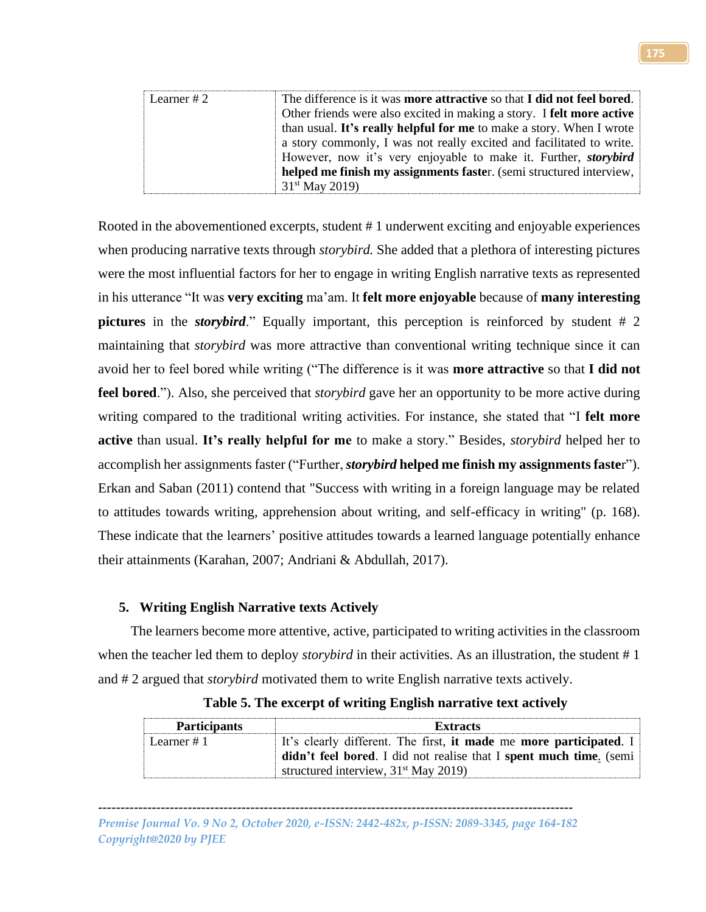| Learner # $2$ | The difference is it was more attractive so that I did not feel bored. |
|---------------|------------------------------------------------------------------------|
|               | Other friends were also excited in making a story. I felt more active  |
|               | than usual. It's really helpful for me to make a story. When I wrote   |
|               | a story commonly, I was not really excited and facilitated to write.   |
|               | However, now it's very enjoyable to make it. Further, <i>storybird</i> |
|               | helped me finish my assignments faster. (semi structured interview,    |
|               | 31 <sup>st</sup> May 2019)                                             |

Rooted in the abovementioned excerpts, student # 1 underwent exciting and enjoyable experiences when producing narrative texts through *storybird.* She added that a plethora of interesting pictures were the most influential factors for her to engage in writing English narrative texts as represented in his utterance "It was **very exciting** ma'am. It **felt more enjoyable** because of **many interesting pictures** in the *storybird*." Equally important, this perception is reinforced by student # 2 maintaining that *storybird* was more attractive than conventional writing technique since it can avoid her to feel bored while writing ("The difference is it was **more attractive** so that **I did not feel bored**."). Also, she perceived that *storybird* gave her an opportunity to be more active during writing compared to the traditional writing activities. For instance, she stated that "I **felt more active** than usual. **It's really helpful for me** to make a story." Besides, *storybird* helped her to accomplish her assignments faster ("Further, *storybird* **helped me finish my assignments faste**r"). Erkan and Saban (2011) contend that "Success with writing in a foreign language may be related to attitudes towards writing, apprehension about writing, and self-efficacy in writing" (p. 168). These indicate that the learners' positive attitudes towards a learned language potentially enhance their attainments (Karahan, 2007; Andriani & Abdullah, 2017).

# **5. Writing English Narrative texts Actively**

The learners become more attentive, active, participated to writing activities in the classroom when the teacher led them to deploy *storybird* in their activities. As an illustration, the student # 1 and # 2 argued that *storybird* motivated them to write English narrative texts actively.

| <b>Participants</b> | <b>Extracts</b>                                                     |
|---------------------|---------------------------------------------------------------------|
| Learner #1          | It's clearly different. The first, it made me more participated. I  |
|                     | didn't feel bored. I did not realise that I spent much time. (semi- |
|                     | structured interview, $31st$ May 2019)                              |

| Table 5. The excerpt of writing English narrative text actively |  |  |  |  |  |  |  |  |  |  |  |  |
|-----------------------------------------------------------------|--|--|--|--|--|--|--|--|--|--|--|--|
|-----------------------------------------------------------------|--|--|--|--|--|--|--|--|--|--|--|--|

*---------------------------------------------------------------------------------------------------------- Premise Journal Vo. 9 No 2, October 2020, e-ISSN: 2442-482x, p-ISSN: 2089-3345, page 164-182 Copyright@2020 by PJEE*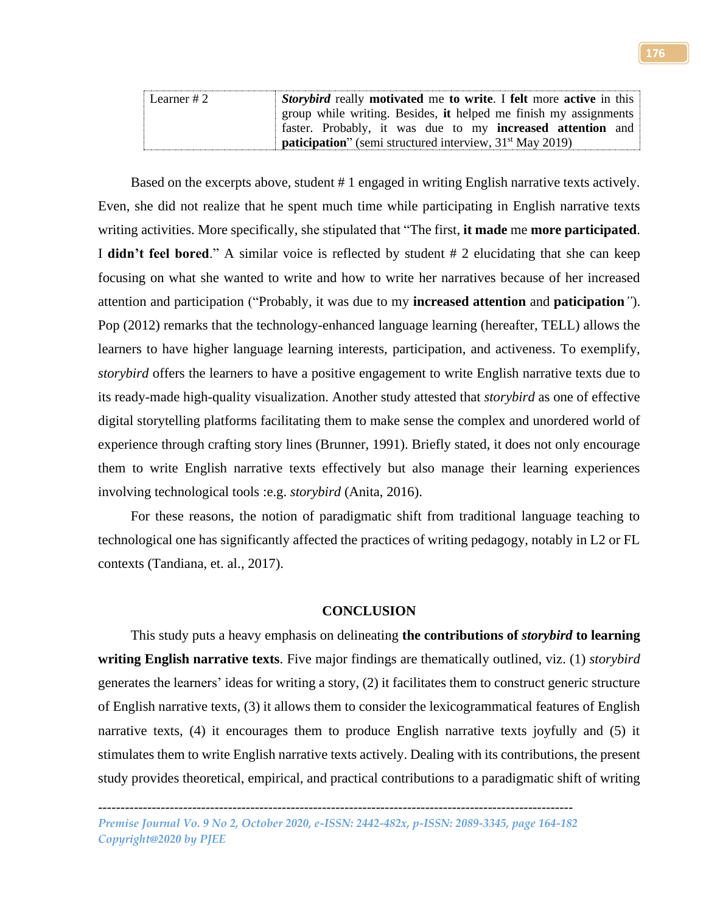| Learner #2 | Storybird really motivated me to write. I felt more active in this |
|------------|--------------------------------------------------------------------|
|            | group while writing. Besides, it helped me finish my assignments   |
|            | faster. Probably, it was due to my <b>increased attention</b> and  |
|            | <b>paticipation</b> " (semi structured interview, $31st$ May 2019) |

Based on the excerpts above, student # 1 engaged in writing English narrative texts actively. Even, she did not realize that he spent much time while participating in English narrative texts writing activities. More specifically, she stipulated that "The first, **it made** me **more participated**. I **didn't feel bored**." A similar voice is reflected by student # 2 elucidating that she can keep focusing on what she wanted to write and how to write her narratives because of her increased attention and participation ("Probably, it was due to my **increased attention** and **paticipation***"*). Pop (2012) remarks that the technology-enhanced language learning (hereafter, TELL) allows the learners to have higher language learning interests, participation, and activeness. To exemplify, *storybird* offers the learners to have a positive engagement to write English narrative texts due to its ready-made high-quality visualization. Another study attested that *storybird* as one of effective digital storytelling platforms facilitating them to make sense the complex and unordered world of experience through crafting story lines (Brunner, 1991). Briefly stated, it does not only encourage them to write English narrative texts effectively but also manage their learning experiences involving technological tools :e.g. *storybird* (Anita, 2016).

For these reasons, the notion of paradigmatic shift from traditional language teaching to technological one has significantly affected the practices of writing pedagogy, notably in L2 or FL contexts (Tandiana, et. al., 2017).

## **CONCLUSION**

This study puts a heavy emphasis on delineating **the contributions of** *storybird* **to learning writing English narrative texts**. Five major findings are thematically outlined, viz. (1) *storybird* generates the learners' ideas for writing a story, (2) it facilitates them to construct generic structure of English narrative texts, (3) it allows them to consider the lexicogrammatical features of English narrative texts, (4) it encourages them to produce English narrative texts joyfully and (5) it stimulates them to write English narrative texts actively. Dealing with its contributions, the present study provides theoretical, empirical, and practical contributions to a paradigmatic shift of writing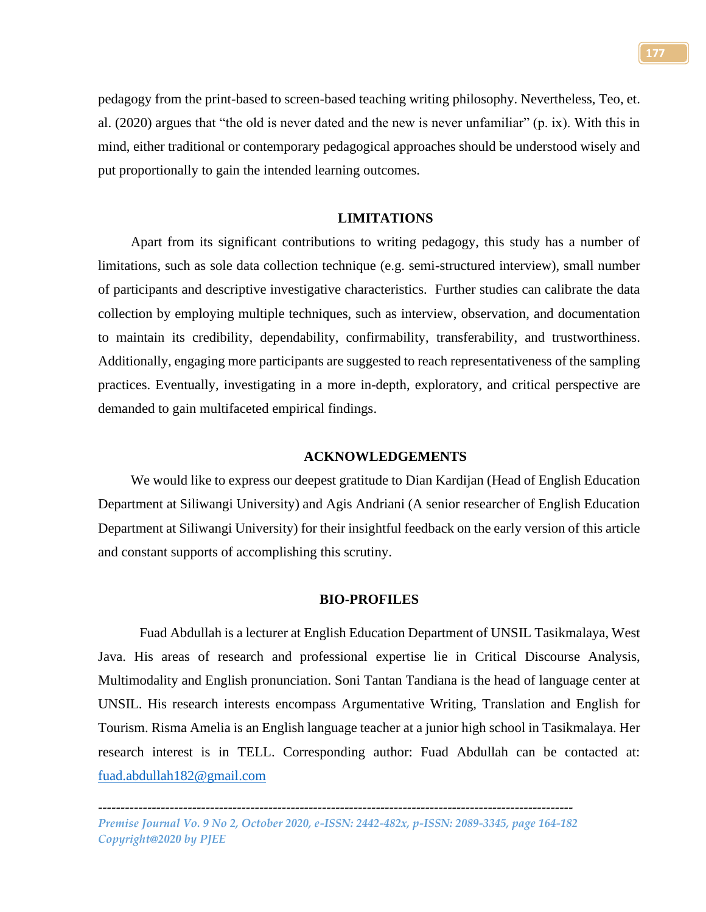pedagogy from the print-based to screen-based teaching writing philosophy. Nevertheless, Teo, et. al. (2020) argues that "the old is never dated and the new is never unfamiliar" (p. ix). With this in mind, either traditional or contemporary pedagogical approaches should be understood wisely and put proportionally to gain the intended learning outcomes.

# **LIMITATIONS**

Apart from its significant contributions to writing pedagogy, this study has a number of limitations, such as sole data collection technique (e.g. semi-structured interview), small number of participants and descriptive investigative characteristics. Further studies can calibrate the data collection by employing multiple techniques, such as interview, observation, and documentation to maintain its credibility, dependability, confirmability, transferability, and trustworthiness. Additionally, engaging more participants are suggested to reach representativeness of the sampling practices. Eventually, investigating in a more in-depth, exploratory, and critical perspective are demanded to gain multifaceted empirical findings.

### **ACKNOWLEDGEMENTS**

We would like to express our deepest gratitude to Dian Kardijan (Head of English Education Department at Siliwangi University) and Agis Andriani (A senior researcher of English Education Department at Siliwangi University) for their insightful feedback on the early version of this article and constant supports of accomplishing this scrutiny.

#### **BIO-PROFILES**

Fuad Abdullah is a lecturer at English Education Department of UNSIL Tasikmalaya, West Java. His areas of research and professional expertise lie in Critical Discourse Analysis, Multimodality and English pronunciation. Soni Tantan Tandiana is the head of language center at UNSIL. His research interests encompass Argumentative Writing, Translation and English for Tourism. Risma Amelia is an English language teacher at a junior high school in Tasikmalaya. Her research interest is in TELL. Corresponding author: Fuad Abdullah can be contacted at: [fuad.abdullah182@gmail.com](mailto:fuad.abdullah182@gmail.com)

*<sup>----------------------------------------------------------------------------------------------------------</sup> Premise Journal Vo. 9 No 2, October 2020, e-ISSN: 2442-482x, p-ISSN: 2089-3345, page 164-182 Copyright@2020 by PJEE*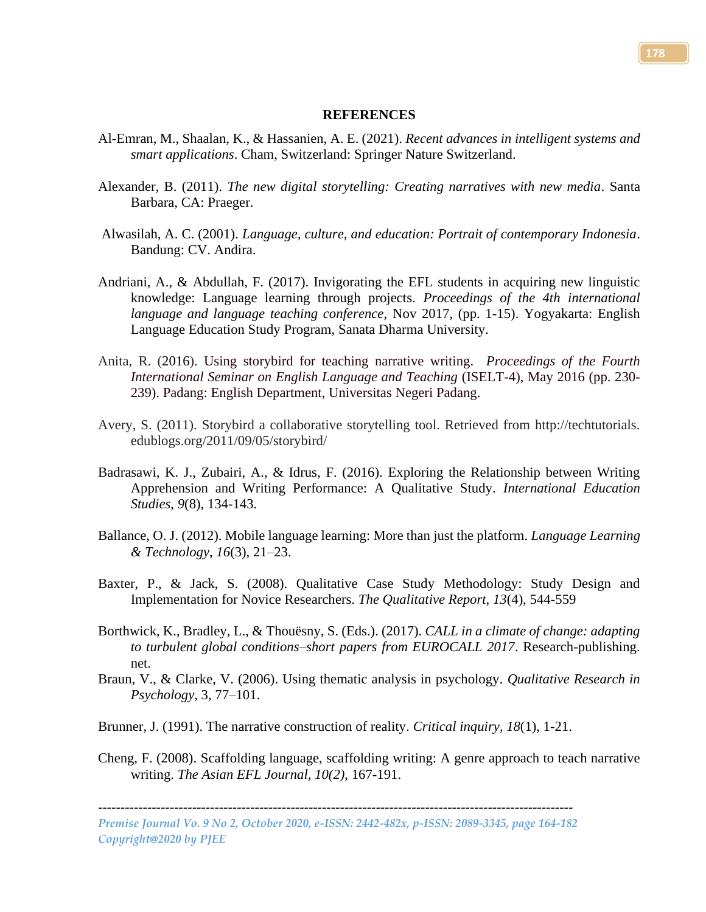#### **REFERENCES**

- Al-Emran, M., Shaalan, K., & Hassanien, A. E. (2021). *Recent advances in intelligent systems and smart applications*. Cham, Switzerland: Springer Nature Switzerland.
- Alexander, B. (2011). *The new digital storytelling: Creating narratives with new media*. Santa Barbara, CA: Praeger.
- Alwasilah, A. C. (2001). *Language, culture, and education: Portrait of contemporary Indonesia*. Bandung: CV. Andira.
- Andriani, A., & Abdullah, F. (2017). Invigorating the EFL students in acquiring new linguistic knowledge: Language learning through projects. *Proceedings of the 4th international language and language teaching conference*, Nov 2017, (pp. 1-15). Yogyakarta: English Language Education Study Program, Sanata Dharma University.
- Anita, R. (2016). Using storybird for teaching narrative writing. *Proceedings of the Fourth International Seminar on English Language and Teaching* (ISELT-4), May 2016 (pp. 230- 239). Padang: English Department, Universitas Negeri Padang.
- Avery, S. (2011). Storybird a collaborative storytelling tool. Retrieved from http://techtutorials. edublogs.org/2011/09/05/storybird/
- Badrasawi, K. J., Zubairi, A., & Idrus, F. (2016). Exploring the Relationship between Writing Apprehension and Writing Performance: A Qualitative Study. *International Education Studies*, *9*(8), 134-143.
- Ballance, O. J. (2012). Mobile language learning: More than just the platform. *Language Learning & Technology*, *16*(3), 21–23.
- Baxter, P., & Jack, S. (2008). Qualitative Case Study Methodology: Study Design and Implementation for Novice Researchers. *The Qualitative Report, 13*(4), 544-559
- Borthwick, K., Bradley, L., & Thouësny, S. (Eds.). (2017). *CALL in a climate of change: adapting to turbulent global conditions–short papers from EUROCALL 2017*. Research-publishing. net.
- Braun, V., & Clarke, V. (2006). Using thematic analysis in psychology. *Qualitative Research in Psychology*, 3, 77–101.
- Brunner, J. (1991). The narrative construction of reality. *Critical inquiry*, *18*(1), 1-21.
- Cheng, F. (2008). Scaffolding language, scaffolding writing: A genre approach to teach narrative writing. *The Asian EFL Journal, 10(2)*, 167-191.

*Premise Journal Vo. 9 No 2, October 2020, e-ISSN: 2442-482x, p-ISSN: 2089-3345, page 164-182 Copyright@2020 by PJEE*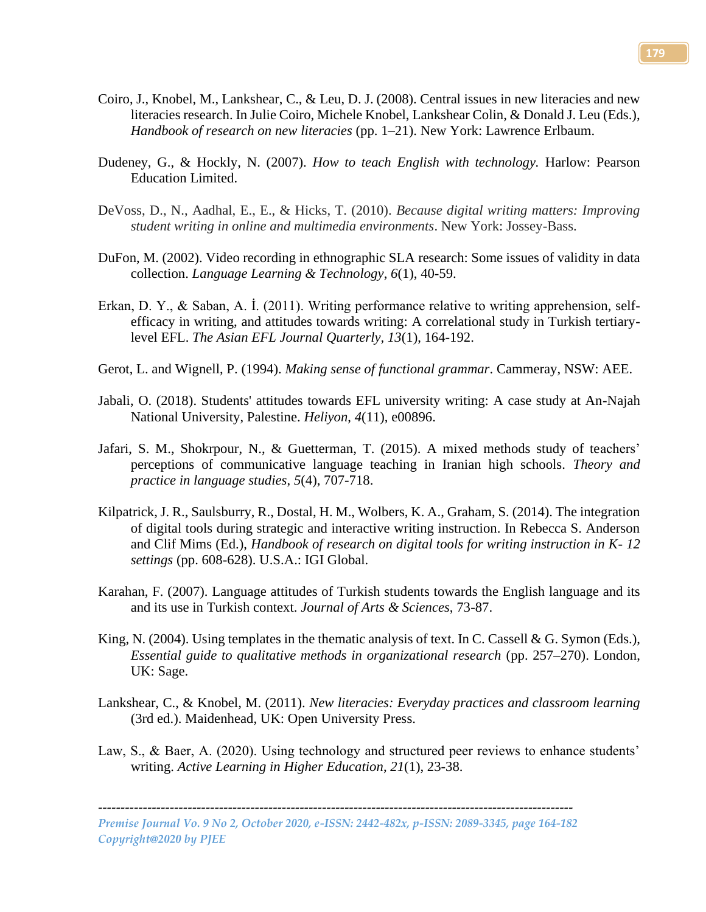- Coiro, J., Knobel, M., Lankshear, C., & Leu, D. J. (2008). Central issues in new literacies and new literacies research. In Julie Coiro, Michele Knobel, Lankshear Colin, & Donald J. Leu (Eds.), *Handbook of research on new literacies* (pp. 1–21). New York: Lawrence Erlbaum.
- Dudeney, G., & Hockly, N. (2007). *How to teach English with technology.* Harlow: Pearson Education Limited.
- DeVoss, D., N., Aadhal, E., E., & Hicks, T. (2010). *Because digital writing matters: Improving student writing in online and multimedia environments*. New York: Jossey-Bass.
- DuFon, M. (2002). Video recording in ethnographic SLA research: Some issues of validity in data collection. *Language Learning & Technology*, *6*(1), 40-59.
- Erkan, D. Y., & Saban, A. İ. (2011). Writing performance relative to writing apprehension, selfefficacy in writing, and attitudes towards writing: A correlational study in Turkish tertiarylevel EFL. *The Asian EFL Journal Quarterly, 13*(1), 164-192.
- Gerot, L. and Wignell, P. (1994). *Making sense of functional grammar*. Cammeray, NSW: AEE.
- Jabali, O. (2018). Students' attitudes towards EFL university writing: A case study at An-Najah National University, Palestine. *Heliyon*, *4*(11), e00896.
- Jafari, S. M., Shokrpour, N., & Guetterman, T. (2015). A mixed methods study of teachers' perceptions of communicative language teaching in Iranian high schools. *Theory and practice in language studies*, *5*(4), 707-718.
- Kilpatrick, J. R., Saulsburry, R., Dostal, H. M., Wolbers, K. A., Graham, S. (2014). The integration of digital tools during strategic and interactive writing instruction. In Rebecca S. Anderson and Clif Mims (Ed.), *Handbook of research on digital tools for writing instruction in K- 12 settings* (pp. 608-628). U.S.A.: IGI Global.
- Karahan, F. (2007). Language attitudes of Turkish students towards the English language and its and its use in Turkish context. *Journal of Arts & Sciences*, 73-87.
- King, N. (2004). Using templates in the thematic analysis of text. In C. Cassell & G. Symon (Eds.), *Essential guide to qualitative methods in organizational research* (pp. 257–270). London, UK: Sage.
- Lankshear, C., & Knobel, M. (2011). *New literacies: Everyday practices and classroom learning*  (3rd ed.). Maidenhead, UK: Open University Press.
- Law, S., & Baer, A. (2020). Using technology and structured peer reviews to enhance students' writing. *Active Learning in Higher Education*, *21*(1), 23-38.

*Premise Journal Vo. 9 No 2, October 2020, e-ISSN: 2442-482x, p-ISSN: 2089-3345, page 164-182 Copyright@2020 by PJEE*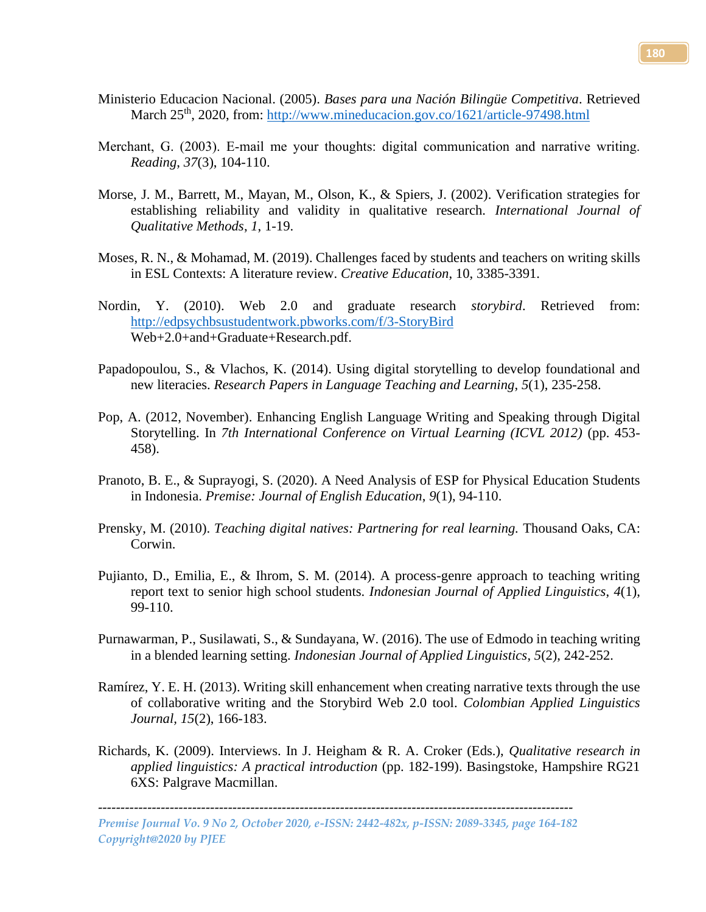- Ministerio Educacion Nacional. (2005). *Bases para una Nación Bilingüe Competitiva*. Retrieved March 25<sup>th</sup>, 2020, from:<http://www.mineducacion.gov.co/1621/article-97498.html>
- Merchant, G. (2003). E-mail me your thoughts: digital communication and narrative writing. *Reading*, *37*(3), 104-110.
- Morse, J. M., Barrett, M., Mayan, M., Olson, K., & Spiers, J. (2002). Verification strategies for establishing reliability and validity in qualitative research. *International Journal of Qualitative Methods*, *1*, 1-19.
- Moses, R. N., & Mohamad, M. (2019). Challenges faced by students and teachers on writing skills in ESL Contexts: A literature review. *Creative Education*, 10, 3385-3391.
- Nordin, Y. (2010). Web 2.0 and graduate research *storybird*. Retrieved from: <http://edpsychbsustudentwork.pbworks.com/f/3-StoryBird> Web+2.0+and+Graduate+Research.pdf.
- Papadopoulou, S., & Vlachos, K. (2014). Using digital storytelling to develop foundational and new literacies. *Research Papers in Language Teaching and Learning*, *5*(1), 235-258.
- Pop, A. (2012, November). Enhancing English Language Writing and Speaking through Digital Storytelling. In *7th International Conference on Virtual Learning (ICVL 2012)* (pp. 453- 458).
- Pranoto, B. E., & Suprayogi, S. (2020). A Need Analysis of ESP for Physical Education Students in Indonesia. *Premise: Journal of English Education*, *9*(1), 94-110.
- Prensky, M. (2010). *Teaching digital natives: Partnering for real learning.* Thousand Oaks, CA: Corwin.
- Pujianto, D., Emilia, E., & Ihrom, S. M. (2014). A process-genre approach to teaching writing report text to senior high school students. *Indonesian Journal of Applied Linguistics*, *4*(1), 99-110.
- Purnawarman, P., Susilawati, S., & Sundayana, W. (2016). The use of Edmodo in teaching writing in a blended learning setting. *Indonesian Journal of Applied Linguistics*, *5*(2), 242-252.
- Ramírez, Y. E. H. (2013). Writing skill enhancement when creating narrative texts through the use of collaborative writing and the Storybird Web 2.0 tool. *Colombian Applied Linguistics Journal, 15*(2), 166-183.
- Richards, K. (2009). Interviews. In J. Heigham & R. A. Croker (Eds.), *Qualitative research in applied linguistics: A practical introduction* (pp. 182-199). Basingstoke, Hampshire RG21 6XS: Palgrave Macmillan.

*Premise Journal Vo. 9 No 2, October 2020, e-ISSN: 2442-482x, p-ISSN: 2089-3345, page 164-182 Copyright@2020 by PJEE*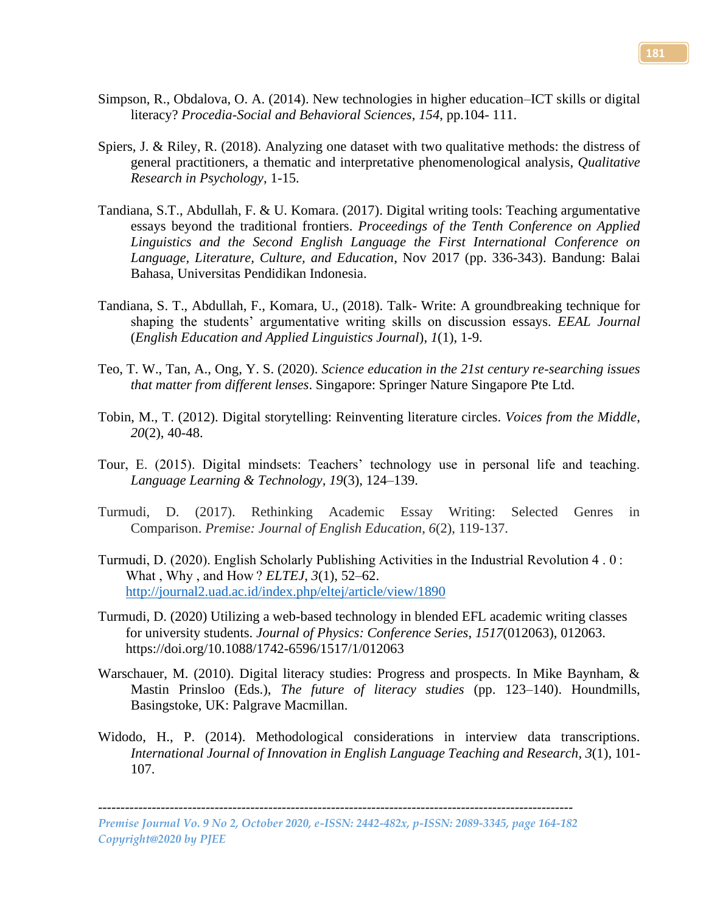- Simpson, R., Obdalova, O. A. (2014). New technologies in higher education–ICT skills or digital literacy? *Procedia-Social and Behavioral Sciences*, *154*, pp.104- 111.
- Spiers, J. & Riley, R. (2018). Analyzing one dataset with two qualitative methods: the distress of general practitioners, a thematic and interpretative phenomenological analysis, *Qualitative Research in Psychology*, 1-15.
- Tandiana, S.T., Abdullah, F. & U. Komara. (2017). Digital writing tools: Teaching argumentative essays beyond the traditional frontiers. *Proceedings of the Tenth Conference on Applied Linguistics and the Second English Language the First International Conference on Language, Literature, Culture, and Education*, Nov 2017 (pp. 336-343). Bandung: Balai Bahasa, Universitas Pendidikan Indonesia.
- Tandiana, S. T., Abdullah, F., Komara, U., (2018). Talk- Write: A groundbreaking technique for shaping the students' argumentative writing skills on discussion essays. *EEAL Journal* (*English Education and Applied Linguistics Journal*), *1*(1), 1-9.
- Teo, T. W., Tan, A., Ong, Y. S. (2020). *Science education in the 21st century re-searching issues that matter from different lenses*. Singapore: Springer Nature Singapore Pte Ltd.
- Tobin, M., T. (2012). Digital storytelling: Reinventing literature circles. *Voices from the Middle*, *20*(2), 40-48.
- Tour, E. (2015). Digital mindsets: Teachers' technology use in personal life and teaching. *Language Learning & Technology, 19*(3), 124–139.
- Turmudi, D. (2017). Rethinking Academic Essay Writing: Selected Genres in Comparison. *Premise: Journal of English Education*, *6*(2), 119-137.
- Turmudi, D. (2020). English Scholarly Publishing Activities in the Industrial Revolution 4 . 0 : What , Why , and How ? *ELTEJ*, *3*(1), 52–62. <http://journal2.uad.ac.id/index.php/eltej/article/view/1890>
- Turmudi, D. (2020) Utilizing a web-based technology in blended EFL academic writing classes for university students. *Journal of Physics: Conference Series*, *1517*(012063), 012063. https://doi.org/10.1088/1742-6596/1517/1/012063
- Warschauer, M. (2010). Digital literacy studies: Progress and prospects. In Mike Baynham, & Mastin Prinsloo (Eds.), *The future of literacy studies* (pp. 123–140). Houndmills, Basingstoke, UK: Palgrave Macmillan.
- Widodo, H., P. (2014). Methodological considerations in interview data transcriptions. *International Journal of Innovation in English Language Teaching and Research*, *3*(1), 101- 107.

*Premise Journal Vo. 9 No 2, October 2020, e-ISSN: 2442-482x, p-ISSN: 2089-3345, page 164-182 Copyright@2020 by PJEE*